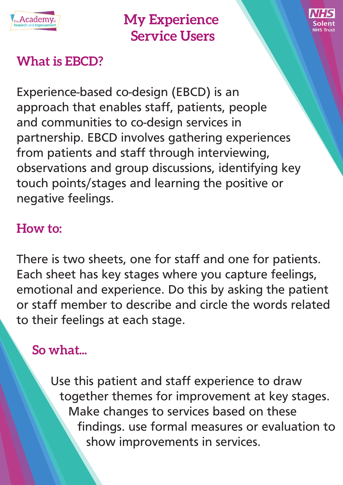

**My Experience Service Users**



# **What is EBCD?**

Experience-based co-design (EBCD) is an approach that enables staff, patients, people and communities to co-design services in partnership. EBCD involves gathering experiences from patients and staff through interviewing, observations and group discussions, identifying key touch points/stages and learning the positive or negative feelings.

### **How to:**

There is two sheets, one for staff and one for patients. Each sheet has key stages where you capture feelings, emotional and experience. Do this by asking the patient or staff member to describe and circle the words related to their feelings at each stage.

# **So what...**

Use this patient and staff experience to draw together themes for improvement at key stages. Make changes to services based on these findings. use formal measures or evaluation to show improvements in services.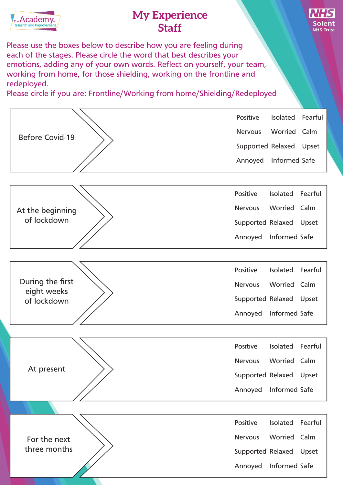

#### **My Experience Staff**



Please use the boxes below to describe how you are feeling during each of the stages. Please circle the word that best describes your emotions, adding any of your own words. Reflect on yourself, your team, working from home, for those shielding, working on the frontline and redeployed.

Please circle if you are: Frontline/Working from home/Shielding/Redeployed

| <b>Before Covid-19</b>                         | Positive                | Isolated            | Fearful |
|------------------------------------------------|-------------------------|---------------------|---------|
|                                                | <b>Nervous</b>          | Worried Calm        |         |
|                                                | Supported Relaxed       |                     | Upset   |
|                                                | Annoyed                 | Informed Safe       |         |
|                                                |                         |                     |         |
| At the beginning<br>of lockdown                | Positive                | Isolated Fearful    |         |
|                                                | <b>Nervous</b>          | Worried Calm        |         |
|                                                | Supported Relaxed       |                     | Upset   |
|                                                | Annoyed                 | Informed Safe       |         |
|                                                |                         |                     |         |
| During the first<br>eight weeks<br>of lockdown | Positive                | Isolated Fearful    |         |
|                                                | <b>Nervous</b>          | Worried Calm        |         |
|                                                | Supported Relaxed       |                     | Upset   |
|                                                | Annoyed                 | Informed Safe       |         |
|                                                |                         |                     |         |
| At present                                     | Positive                | Isolated            | Fearful |
|                                                | <b>Nervous</b>          | <b>Worried Calm</b> |         |
|                                                | Supported Relaxed Upset |                     |         |
|                                                | Annoyed                 | Informed Safe       |         |
|                                                |                         |                     |         |
| For the next<br>three months                   | Positive                | Isolated            | Fearful |
|                                                | <b>Nervous</b>          | Worried Calm        |         |
|                                                | Supported Relaxed       |                     | Upset   |
|                                                | Annoyed                 | Informed Safe       |         |